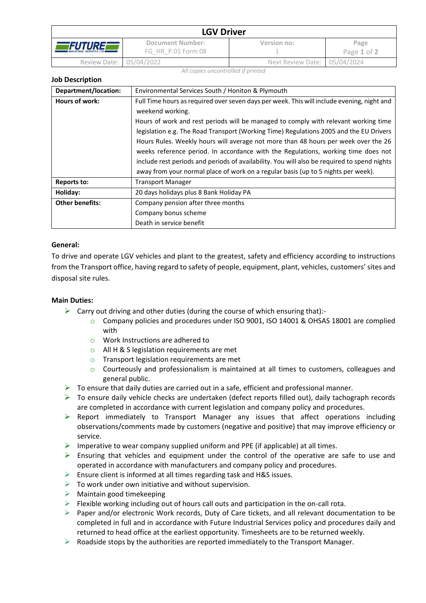|                                                     | <b>LGV Driver</b>                      |                              |                     |  |  |
|-----------------------------------------------------|----------------------------------------|------------------------------|---------------------|--|--|
| <i>FUTURE</i><br><b>INDUSTRIAL SERVICES LTD III</b> | Document Number:<br>FG HR P.01 Form 08 | Version no:                  | Page<br>Page 1 of 2 |  |  |
| Review Date: 05/04/2022                             |                                        | Next Review Date: 05/04/2024 |                     |  |  |

*All copies uncontrolled if printed*

| Department/location: | Environmental Services South / Honiton & Plymouth                                                                                                                                                                                                                                                                                                                                                                                                                                                                                                                                                                                                              |
|----------------------|----------------------------------------------------------------------------------------------------------------------------------------------------------------------------------------------------------------------------------------------------------------------------------------------------------------------------------------------------------------------------------------------------------------------------------------------------------------------------------------------------------------------------------------------------------------------------------------------------------------------------------------------------------------|
| Hours of work:       | Full Time hours as required over seven days per week. This will include evening, night and<br>weekend working.<br>Hours of work and rest periods will be managed to comply with relevant working time<br>legislation e.g. The Road Transport (Working Time) Regulations 2005 and the EU Drivers<br>Hours Rules. Weekly hours will average not more than 48 hours per week over the 26<br>weeks reference period. In accordance with the Regulations, working time does not<br>include rest periods and periods of availability. You will also be required to spend nights<br>away from your normal place of work on a regular basis (up to 5 nights per week). |
| Reports to:          | <b>Transport Manager</b>                                                                                                                                                                                                                                                                                                                                                                                                                                                                                                                                                                                                                                       |
| Holiday:             | 20 days holidays plus 8 Bank Holiday PA                                                                                                                                                                                                                                                                                                                                                                                                                                                                                                                                                                                                                        |
|                      |                                                                                                                                                                                                                                                                                                                                                                                                                                                                                                                                                                                                                                                                |

| Holiday:               | 20 days holidays plus 8 Bank Holiday PA |  |
|------------------------|-----------------------------------------|--|
| <b>Other benefits:</b> | Company pension after three months      |  |
|                        | Company bonus scheme                    |  |
|                        | Death in service benefit                |  |

# **General:**

**Job Description**

To drive and operate LGV vehicles and plant to the greatest, safety and efficiency according to instructions from the Transport office, having regard to safety of people, equipment, plant, vehicles, customers' sites and disposal site rules.

# **Main Duties:**

- $\triangleright$  Carry out driving and other duties (during the course of which ensuring that):
	- o Company policies and procedures under ISO 9001, ISO 14001 & OHSAS 18001 are complied with
	- o Work Instructions are adhered to
	- o All H & S legislation requirements are met
	- o Transport legislation requirements are met
	- o Courteously and professionalism is maintained at all times to customers, colleagues and general public.
- $\triangleright$  To ensure that daily duties are carried out in a safe, efficient and professional manner.
- $\triangleright$  To ensure daily vehicle checks are undertaken (defect reports filled out), daily tachograph records are completed in accordance with current legislation and company policy and procedures.
- ➢ Report immediately to Transport Manager any issues that affect operations including observations/comments made by customers (negative and positive) that may improve efficiency or service.
- $\triangleright$  Imperative to wear company supplied uniform and PPE (if applicable) at all times.
- $\triangleright$  Ensuring that vehicles and equipment under the control of the operative are safe to use and operated in accordance with manufacturers and company policy and procedures.
- $\triangleright$  Ensure client is informed at all times regarding task and H&S issues.
- $\triangleright$  To work under own initiative and without supervision.
- $\triangleright$  Maintain good timekeeping
- $\triangleright$  Flexible working including out of hours call outs and participation in the on-call rota.
- $\triangleright$  Paper and/or electronic Work records, Duty of Care tickets, and all relevant documentation to be completed in full and in accordance with Future Industrial Services policy and procedures daily and returned to head office at the earliest opportunity. Timesheets are to be returned weekly.
- $\triangleright$  Roadside stops by the authorities are reported immediately to the Transport Manager.